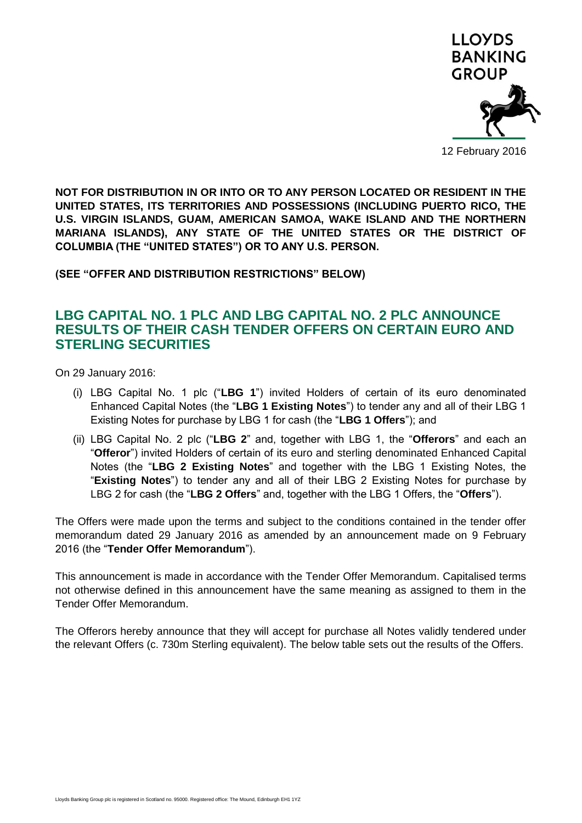

12 February 2016

**NOT FOR DISTRIBUTION IN OR INTO OR TO ANY PERSON LOCATED OR RESIDENT IN THE UNITED STATES, ITS TERRITORIES AND POSSESSIONS (INCLUDING PUERTO RICO, THE U.S. VIRGIN ISLANDS, GUAM, AMERICAN SAMOA, WAKE ISLAND AND THE NORTHERN MARIANA ISLANDS), ANY STATE OF THE UNITED STATES OR THE DISTRICT OF COLUMBIA (THE "UNITED STATES") OR TO ANY U.S. PERSON.**

**(SEE "OFFER AND DISTRIBUTION RESTRICTIONS" BELOW)**

# **LBG CAPITAL NO. 1 PLC AND LBG CAPITAL NO. 2 PLC ANNOUNCE RESULTS OF THEIR CASH TENDER OFFERS ON CERTAIN EURO AND STERLING SECURITIES**

On 29 January 2016:

- (i) LBG Capital No. 1 plc ("**LBG 1**") invited Holders of certain of its euro denominated Enhanced Capital Notes (the "**LBG 1 Existing Notes**") to tender any and all of their LBG 1 Existing Notes for purchase by LBG 1 for cash (the "**LBG 1 Offers**"); and
- (ii) LBG Capital No. 2 plc ("**LBG 2**" and, together with LBG 1, the "**Offerors**" and each an "**Offeror**") invited Holders of certain of its euro and sterling denominated Enhanced Capital Notes (the "**LBG 2 Existing Notes**" and together with the LBG 1 Existing Notes, the "**Existing Notes**") to tender any and all of their LBG 2 Existing Notes for purchase by LBG 2 for cash (the "**LBG 2 Offers**" and, together with the LBG 1 Offers, the "**Offers**").

The Offers were made upon the terms and subject to the conditions contained in the tender offer memorandum dated 29 January 2016 as amended by an announcement made on 9 February 2016 (the "**Tender Offer Memorandum**").

This announcement is made in accordance with the Tender Offer Memorandum. Capitalised terms not otherwise defined in this announcement have the same meaning as assigned to them in the Tender Offer Memorandum.

The Offerors hereby announce that they will accept for purchase all Notes validly tendered under the relevant Offers (c. 730m Sterling equivalent). The below table sets out the results of the Offers.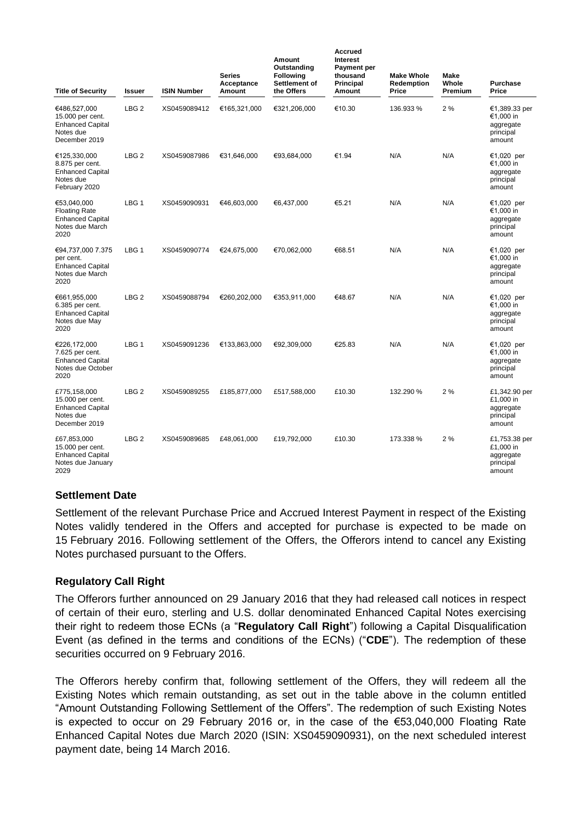| <b>Title of Security</b>                                                                  | <b>Issuer</b>    | <b>ISIN Number</b> | <b>Series</b><br>Acceptance<br>Amount | Amount<br>Outstanding<br><b>Following</b><br>Settlement of<br>the Offers | <b>Accrued</b><br>Interest<br>Payment per<br>thousand<br><b>Principal</b><br>Amount | <b>Make Whole</b><br>Redemption<br>Price | <b>Make</b><br>Whole<br>Premium | Purchase<br>Price                                              |
|-------------------------------------------------------------------------------------------|------------------|--------------------|---------------------------------------|--------------------------------------------------------------------------|-------------------------------------------------------------------------------------|------------------------------------------|---------------------------------|----------------------------------------------------------------|
| €486,527,000<br>15.000 per cent.<br><b>Enhanced Capital</b><br>Notes due<br>December 2019 | LBG <sub>2</sub> | XS0459089412       | €165,321,000                          | €321,206,000                                                             | €10.30                                                                              | 136.933 %                                | 2%                              | €1,389.33 per<br>€1,000 in<br>aggregate<br>principal<br>amount |
| €125,330,000<br>8.875 per cent.<br><b>Enhanced Capital</b><br>Notes due<br>February 2020  | LBG <sub>2</sub> | XS0459087986       | €31,646,000                           | €93,684,000                                                              | €1.94                                                                               | N/A                                      | N/A                             | €1,020 per<br>€1,000 in<br>aggregate<br>principal<br>amount    |
| €53,040,000<br><b>Floating Rate</b><br><b>Enhanced Capital</b><br>Notes due March<br>2020 | LBG <sub>1</sub> | XS0459090931       | €46,603,000                           | €6,437,000                                                               | €5.21                                                                               | N/A                                      | N/A                             | €1,020 per<br>€1,000 in<br>aggregate<br>principal<br>amount    |
| €94,737,000 7.375<br>per cent.<br><b>Enhanced Capital</b><br>Notes due March<br>2020      | LBG 1            | XS0459090774       | €24,675,000                           | €70,062,000                                                              | €68.51                                                                              | N/A                                      | N/A                             | €1,020 per<br>€1,000 in<br>aggregate<br>principal<br>amount    |
| €661,955,000<br>6.385 per cent.<br><b>Enhanced Capital</b><br>Notes due May<br>2020       | LBG <sub>2</sub> | XS0459088794       | €260,202,000                          | €353,911,000                                                             | €48.67                                                                              | N/A                                      | N/A                             | €1,020 per<br>€1,000 in<br>aggregate<br>principal<br>amount    |
| €226,172,000<br>7.625 per cent.<br><b>Enhanced Capital</b><br>Notes due October<br>2020   | LBG <sub>1</sub> | XS0459091236       | €133,863,000                          | €92,309,000                                                              | €25.83                                                                              | N/A                                      | N/A                             | €1,020 per<br>€1,000 in<br>aggregate<br>principal<br>amount    |
| £775,158,000<br>15.000 per cent.<br><b>Enhanced Capital</b><br>Notes due<br>December 2019 | LBG <sub>2</sub> | XS0459089255       | £185,877,000                          | £517,588,000                                                             | £10.30                                                                              | 132.290 %                                | 2%                              | £1,342.90 per<br>£1,000 in<br>aggregate<br>principal<br>amount |
| £67,853,000<br>15.000 per cent.<br><b>Enhanced Capital</b><br>Notes due January<br>2029   | LBG <sub>2</sub> | XS0459089685       | £48,061,000                           | £19,792,000                                                              | £10.30                                                                              | 173.338 %                                | 2%                              | £1,753.38 per<br>£1,000 in<br>aggregate<br>principal<br>amount |

## **Settlement Date**

Settlement of the relevant Purchase Price and Accrued Interest Payment in respect of the Existing Notes validly tendered in the Offers and accepted for purchase is expected to be made on 15 February 2016. Following settlement of the Offers, the Offerors intend to cancel any Existing Notes purchased pursuant to the Offers.

## **Regulatory Call Right**

The Offerors further announced on 29 January 2016 that they had released call notices in respect of certain of their euro, sterling and U.S. dollar denominated Enhanced Capital Notes exercising their right to redeem those ECNs (a "**Regulatory Call Right**") following a Capital Disqualification Event (as defined in the terms and conditions of the ECNs) ("**CDE**"). The redemption of these securities occurred on 9 February 2016.

The Offerors hereby confirm that, following settlement of the Offers, they will redeem all the Existing Notes which remain outstanding, as set out in the table above in the column entitled "Amount Outstanding Following Settlement of the Offers". The redemption of such Existing Notes is expected to occur on 29 February 2016 or, in the case of the €53,040,000 Floating Rate Enhanced Capital Notes due March 2020 (ISIN: XS0459090931), on the next scheduled interest payment date, being 14 March 2016.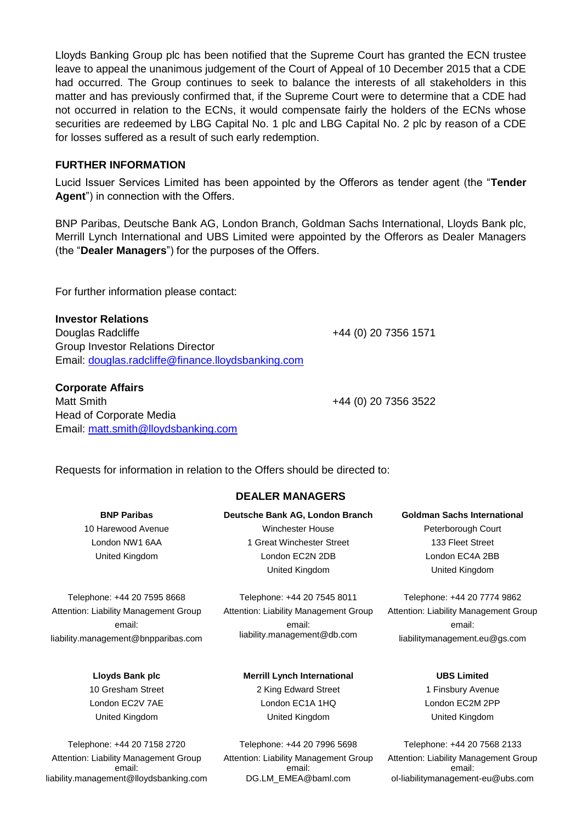Lloyds Banking Group plc has been notified that the Supreme Court has granted the ECN trustee leave to appeal the unanimous judgement of the Court of Appeal of 10 December 2015 that a CDE had occurred. The Group continues to seek to balance the interests of all stakeholders in this matter and has previously confirmed that, if the Supreme Court were to determine that a CDE had not occurred in relation to the ECNs, it would compensate fairly the holders of the ECNs whose securities are redeemed by LBG Capital No. 1 plc and LBG Capital No. 2 plc by reason of a CDE for losses suffered as a result of such early redemption.

### **FURTHER INFORMATION**

Lucid Issuer Services Limited has been appointed by the Offerors as tender agent (the "**Tender Agent**") in connection with the Offers.

BNP Paribas, Deutsche Bank AG, London Branch, Goldman Sachs International, Lloyds Bank plc, Merrill Lynch International and UBS Limited were appointed by the Offerors as Dealer Managers (the "**Dealer Managers**") for the purposes of the Offers.

For further information please contact:

Email: [matt.smith@lloydsbanking.com](mailto:matt.smith@lloydsbanking.com)

**Investor Relations** Douglas Radcliffe **+44 (0) 20 7356 1571** Group Investor Relations Director Email: [douglas.radcliffe@finance.lloydsbanking.com](mailto:douglas.radcliffe@finance.lloydsbanking.com)

Matt Smith +44 (0) 20 7356 3522

Requests for information in relation to the Offers should be directed to:

**BNP Paribas** 10 Harewood Avenue London NW1 6AA United Kingdom

**Corporate Affairs**

Head of Corporate Media

Telephone: +44 20 7595 8668 Attention: Liability Management Group email: liability.management@bnpparibas.com

> **Lloyds Bank plc** 10 Gresham Street London EC2V 7AE United Kingdom

Telephone: +44 20 7158 2720 Attention: Liability Management Group email: liability.management@lloydsbanking.com

# **DEALER MANAGERS**

**Deutsche Bank AG, London Branch** Winchester House 1 Great Winchester Street London EC2N 2DB United Kingdom

Telephone: +44 20 7545 8011 Attention: Liability Management Group email: liability.management@db.com

#### **Merrill Lynch International**

2 King Edward Street London EC1A 1HQ United Kingdom

Telephone: +44 20 7996 5698 Attention: Liability Management Group email: DG.LM\_EMEA@baml.com

**Goldman Sachs International** Peterborough Court 133 Fleet Street London EC4A 2BB United Kingdom

Telephone: +44 20 7774 9862 Attention: Liability Management Group email: liabilitymanagement.eu@gs.com

> **UBS Limited** 1 Finsbury Avenue London EC2M 2PP United Kingdom

Telephone: +44 20 7568 2133 Attention: Liability Management Group email: ol-liabilitymanagement-eu@ubs.com